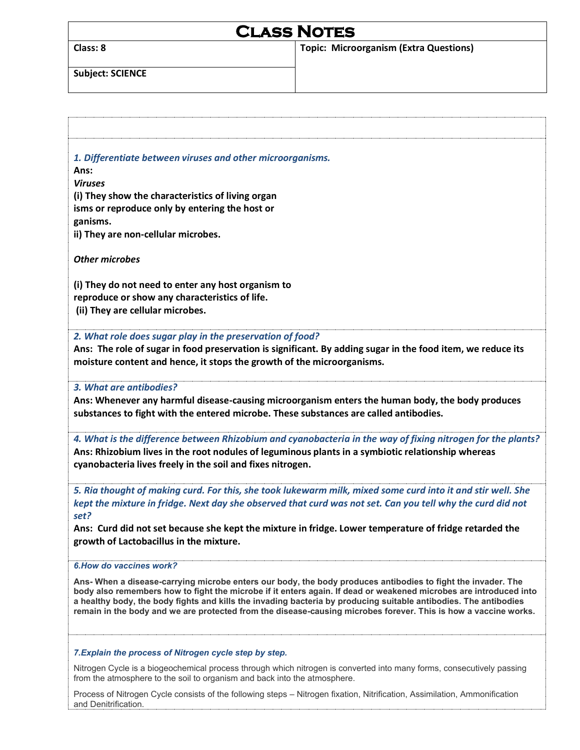# **Class Notes**

**Class: 8 Topic: Microorganism (Extra Questions)** 

**Subject: SCIENCE** 

| 1. Differentiate between viruses and other microorganisms.<br>Ans:                                                                                                                                                                  |
|-------------------------------------------------------------------------------------------------------------------------------------------------------------------------------------------------------------------------------------|
| <b>Viruses</b>                                                                                                                                                                                                                      |
| (i) They show the characteristics of living organ                                                                                                                                                                                   |
| isms or reproduce only by entering the host or                                                                                                                                                                                      |
| ganisms.                                                                                                                                                                                                                            |
| ii) They are non-cellular microbes.                                                                                                                                                                                                 |
| <b>Other microbes</b>                                                                                                                                                                                                               |
| (i) They do not need to enter any host organism to                                                                                                                                                                                  |
| reproduce or show any characteristics of life.<br>(ii) They are cellular microbes.                                                                                                                                                  |
|                                                                                                                                                                                                                                     |
| 2. What role does sugar play in the preservation of food?                                                                                                                                                                           |
| Ans: The role of sugar in food preservation is significant. By adding sugar in the food item, we reduce its                                                                                                                         |
| moisture content and hence, it stops the growth of the microorganisms.                                                                                                                                                              |
| 3. What are antibodies?                                                                                                                                                                                                             |
| Ans: Whenever any harmful disease-causing microorganism enters the human body, the body produces                                                                                                                                    |
| substances to fight with the entered microbe. These substances are called antibodies.                                                                                                                                               |
| 4. What is the difference between Rhizobium and cyanobacteria in the way of fixing nitrogen for the plants?                                                                                                                         |
| Ans: Rhizobium lives in the root nodules of leguminous plants in a symbiotic relationship whereas                                                                                                                                   |
| cyanobacteria lives freely in the soil and fixes nitrogen.                                                                                                                                                                          |
| 5. Ria thought of making curd. For this, she took lukewarm milk, mixed some curd into it and stir well. She                                                                                                                         |
| kept the mixture in fridge. Next day she observed that curd was not set. Can you tell why the curd did not                                                                                                                          |
| set?                                                                                                                                                                                                                                |
| Ans: Curd did not set because she kept the mixture in fridge. Lower temperature of fridge retarded the                                                                                                                              |
| growth of Lactobacillus in the mixture.                                                                                                                                                                                             |
| 6. How do vaccines work?                                                                                                                                                                                                            |
| Ans- When a disease-carrying microbe enters our body, the body produces antibodies to fight the invader. The                                                                                                                        |
| body also remembers how to fight the microbe if it enters again. If dead or weakened microbes are introduced into                                                                                                                   |
| a healthy body, the body fights and kills the invading bacteria by producing suitable antibodies. The antibodies<br>remain in the body and we are protected from the disease-causing microbes forever. This is how a vaccine works. |
|                                                                                                                                                                                                                                     |
|                                                                                                                                                                                                                                     |
| 7. Explain the process of Nitrogen cycle step by step.                                                                                                                                                                              |

Nitrogen Cycle is a biogeochemical process through which nitrogen is converted into many forms, consecutively passing from the atmosphere to the soil to organism and back into the atmosphere.

Process of Nitrogen Cycle consists of the following steps – Nitrogen fixation, Nitrification, Assimilation, Ammonification and Denitrification.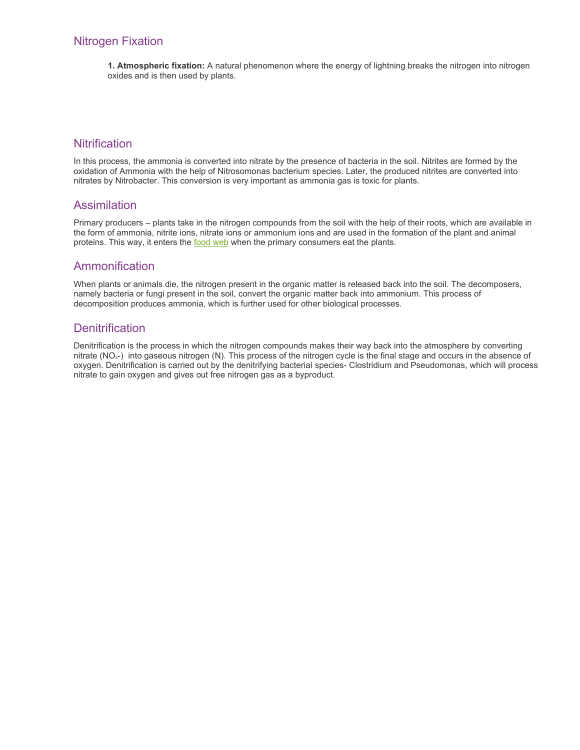## Nitrogen Fixation

**1. Atmospheric fixation:** A natural phenomenon where the energy of lightning breaks the nitrogen into nitrogen oxides and is then used by plants.

### **Nitrification**

In this process, the ammonia is converted into nitrate by the presence of bacteria in the soil. Nitrites are formed by the oxidation of Ammonia with the help of Nitrosomonas bacterium species. Later, the produced nitrites are converted into nitrates by Nitrobacter. This conversion is very important as ammonia gas is toxic for plants.

#### Assimilation

Primary producers – plants take in the nitrogen compounds from the soil with the help of their roots, which are available in the form of ammonia, nitrite ions, nitrate ions or ammonium ions and are used in the formation of the plant and animal proteins. This way, it enters the [food web](https://byjus.com/biology/food-web/) when the primary consumers eat the plants.

#### Ammonification

When plants or animals die, the nitrogen present in the organic matter is released back into the soil. The decomposers, namely bacteria or fungi present in the soil, convert the organic matter back into ammonium. This process of decomposition produces ammonia, which is further used for other biological processes.

#### **Denitrification**

Denitrification is the process in which the nitrogen compounds makes their way back into the atmosphere by converting nitrate  $(NO<sub>3</sub>-)$  into gaseous nitrogen  $(N)$ . This process of the nitrogen cycle is the final stage and occurs in the absence of oxygen. Denitrification is carried out by the denitrifying bacterial species- Clostridium and Pseudomonas, which will process nitrate to gain oxygen and gives out free nitrogen gas as a byproduct.